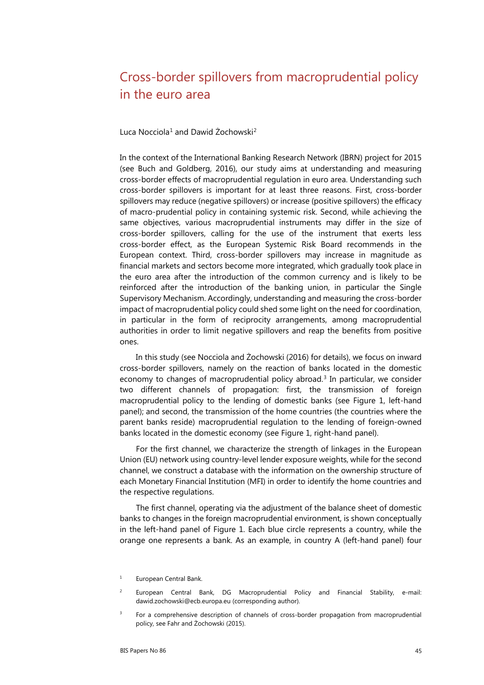## Cross-border spillovers from macroprudential policy in the euro area

Luca Nocciola<sup>[1](#page-0-0)</sup> and Dawid Żochowski<sup>[2](#page-0-1)</sup>

In the context of the International Banking Research Network (IBRN) project for 2015 (see Buch and Goldberg, 2016), our study aims at understanding and measuring cross-border effects of macroprudential regulation in euro area. Understanding such cross-border spillovers is important for at least three reasons. First, cross-border spillovers may reduce (negative spillovers) or increase (positive spillovers) the efficacy of macro-prudential policy in containing systemic risk. Second, while achieving the same objectives, various macroprudential instruments may differ in the size of cross-border spillovers, calling for the use of the instrument that exerts less cross-border effect, as the European Systemic Risk Board recommends in the European context. Third, cross-border spillovers may increase in magnitude as financial markets and sectors become more integrated, which gradually took place in the euro area after the introduction of the common currency and is likely to be reinforced after the introduction of the banking union, in particular the Single Supervisory Mechanism. Accordingly, understanding and measuring the cross-border impact of macroprudential policy could shed some light on the need for coordination, in particular in the form of reciprocity arrangements, among macroprudential authorities in order to limit negative spillovers and reap the benefits from positive ones.

In this study (see Nocciola and Żochowski (2016) for details), we focus on inward cross-border spillovers, namely on the reaction of banks located in the domestic economy to changes of macroprudential policy abroad.<sup>[3](#page-0-2)</sup> In particular, we consider two different channels of propagation: first, the transmission of foreign macroprudential policy to the lending of domestic banks (see Figure 1, left-hand panel); and second, the transmission of the home countries (the countries where the parent banks reside) macroprudential regulation to the lending of foreign-owned banks located in the domestic economy (see Figure 1, right-hand panel).

For the first channel, we characterize the strength of linkages in the European Union (EU) network using country‐level lender exposure weights, while for the second channel, we construct a database with the information on the ownership structure of each Monetary Financial Institution (MFI) in order to identify the home countries and the respective regulations.

The first channel, operating via the adjustment of the balance sheet of domestic banks to changes in the foreign macroprudential environment, is shown conceptually in the left-hand panel of Figure 1. Each blue circle represents a country, while the orange one represents a bank. As an example, in country A (left-hand panel) four

<span id="page-0-0"></span><sup>&</sup>lt;sup>1</sup> European Central Bank.

<span id="page-0-1"></span><sup>&</sup>lt;sup>2</sup> European Central Bank, DG Macroprudential Policy and Financial Stability, e-mail: [dawid.zochowski@ecb.europa.eu](mailto:dawid.zochowski@ecb.europa.eu) (corresponding author).

<span id="page-0-2"></span><sup>&</sup>lt;sup>3</sup> For a comprehensive description of channels of cross-border propagation from macroprudential policy, see Fahr and Żochowski (2015).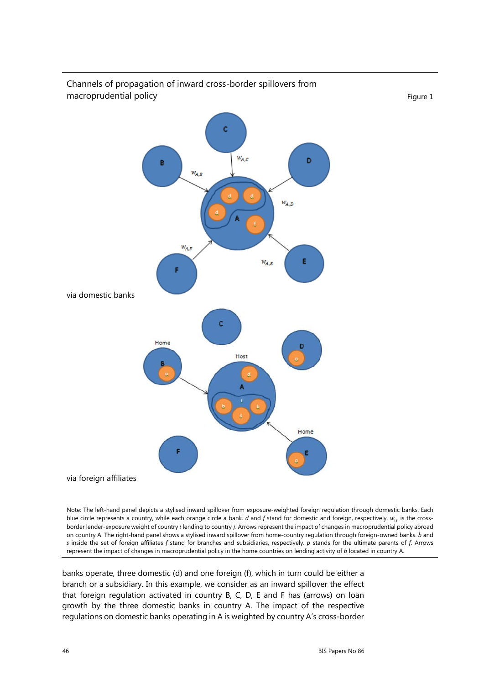

Channels of propagation of inward cross-border spillovers from macroprudential policy example of the state of the state of the state of the state of the state of the state of the state of the state of the state of the state of the state of the state of the state of the state of the st

Note: The left-hand panel depicts a stylised inward spillover from exposure-weighted foreign regulation through domestic banks. Each blue circle represents a country, while each orange circle a bank. *d* and *f* stand for domestic and foreign, respectively.  $w_{ij}$  is the crossborder lender-exposure weight of country *i* lending to country *j*. Arrows represent the impact of changes in macroprudential policy abroad on country A. The right-hand panel shows a stylised inward spillover from home-country regulation through foreign-owned banks. *b* and *s* inside the set of foreign affiliates *f* stand for branches and subsidiaries, respectively. *p* stands for the ultimate parents of *f*. Arrows represent the impact of changes in macroprudential policy in the home countries on lending activity of *b* located in country A.

banks operate, three domestic (d) and one foreign (f), which in turn could be either a branch or a subsidiary. In this example, we consider as an inward spillover the effect that foreign regulation activated in country B, C, D, E and F has (arrows) on loan growth by the three domestic banks in country A. The impact of the respective regulations on domestic banks operating in A is weighted by country A's cross‐border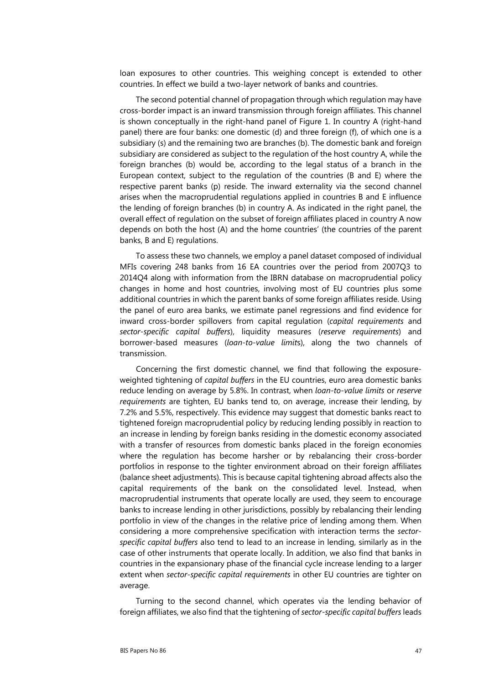loan exposures to other countries. This weighing concept is extended to other countries. In effect we build a two-layer network of banks and countries.

The second potential channel of propagation through which regulation may have cross-border impact is an inward transmission through foreign affiliates. This channel is shown conceptually in the right-hand panel of Figure 1. In country A (right-hand panel) there are four banks: one domestic (d) and three foreign (f), of which one is a subsidiary (s) and the remaining two are branches (b). The domestic bank and foreign subsidiary are considered as subject to the regulation of the host country A, while the foreign branches (b) would be, according to the legal status of a branch in the European context, subject to the regulation of the countries (B and E) where the respective parent banks (p) reside. The inward externality via the second channel arises when the macroprudential regulations applied in countries B and E influence the lending of foreign branches (b) in country A. As indicated in the right panel, the overall effect of regulation on the subset of foreign affiliates placed in country A now depends on both the host (A) and the home countries' (the countries of the parent banks, B and E) regulations.

To assess these two channels, we employ a panel dataset composed of individual MFIs covering 248 banks from 16 EA countries over the period from 2007Q3 to 2014Q4 along with information from the IBRN database on macroprudential policy changes in home and host countries, involving most of EU countries plus some additional countries in which the parent banks of some foreign affiliates reside. Using the panel of euro area banks, we estimate panel regressions and find evidence for inward cross-border spillovers from capital regulation (*capital requirements* and *sector‐specific capital buffers*), liquidity measures (*reserve requirements*) and borrower‐based measures (*loan‐to‐value limit*s), along the two channels of transmission.

Concerning the first domestic channel, we find that following the exposure‐ weighted tightening of *capital buffers* in the EU countries, euro area domestic banks reduce lending on average by 5.8%. In contrast, when *loan-to-value limits* or *reserve requirements* are tighten, EU banks tend to, on average, increase their lending, by 7.2% and 5.5%, respectively. This evidence may suggest that domestic banks react to tightened foreign macroprudential policy by reducing lending possibly in reaction to an increase in lending by foreign banks residing in the domestic economy associated with a transfer of resources from domestic banks placed in the foreign economies where the regulation has become harsher or by rebalancing their cross-border portfolios in response to the tighter environment abroad on their foreign affiliates (balance sheet adjustments). This is because capital tightening abroad affects also the capital requirements of the bank on the consolidated level. Instead, when macroprudential instruments that operate locally are used, they seem to encourage banks to increase lending in other jurisdictions, possibly by rebalancing their lending portfolio in view of the changes in the relative price of lending among them. When considering a more comprehensive specification with interaction terms the *sectorspecific capital buffers* also tend to lead to an increase in lending, similarly as in the case of other instruments that operate locally. In addition, we also find that banks in countries in the expansionary phase of the financial cycle increase lending to a larger extent when *sector-specific capital requirements* in other EU countries are tighter on average.

Turning to the second channel, which operates via the lending behavior of foreign affiliates, we also find that the tightening of *sector-specific capital buffers* leads